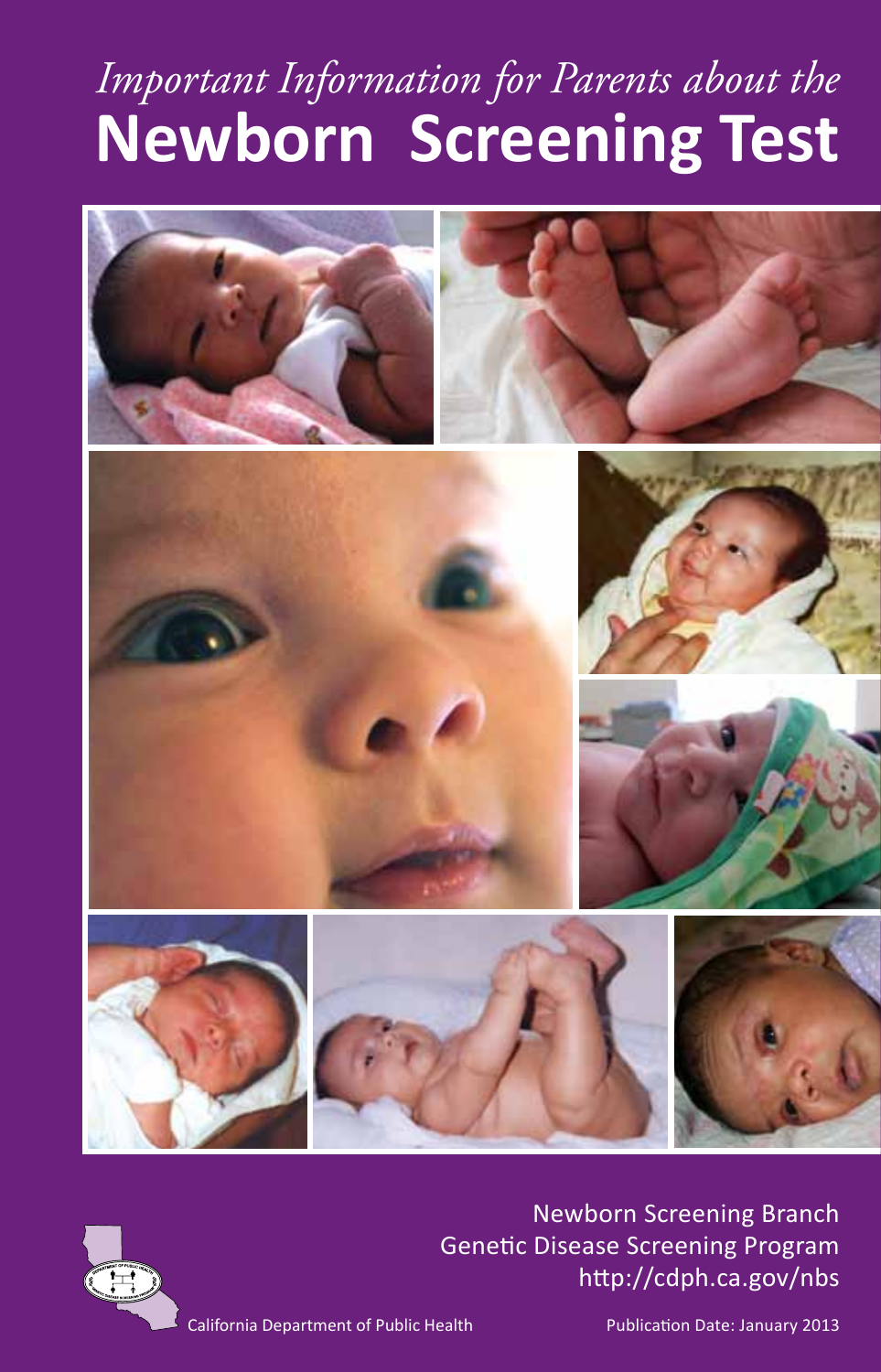# *Important Information for Parents about the*  **Newborn Screening Test**





Newborn Screening Branch Genetic Disease Screening Program http://cdph.ca.gov/nbs

California Department of Public Health

Publication Date: January 2013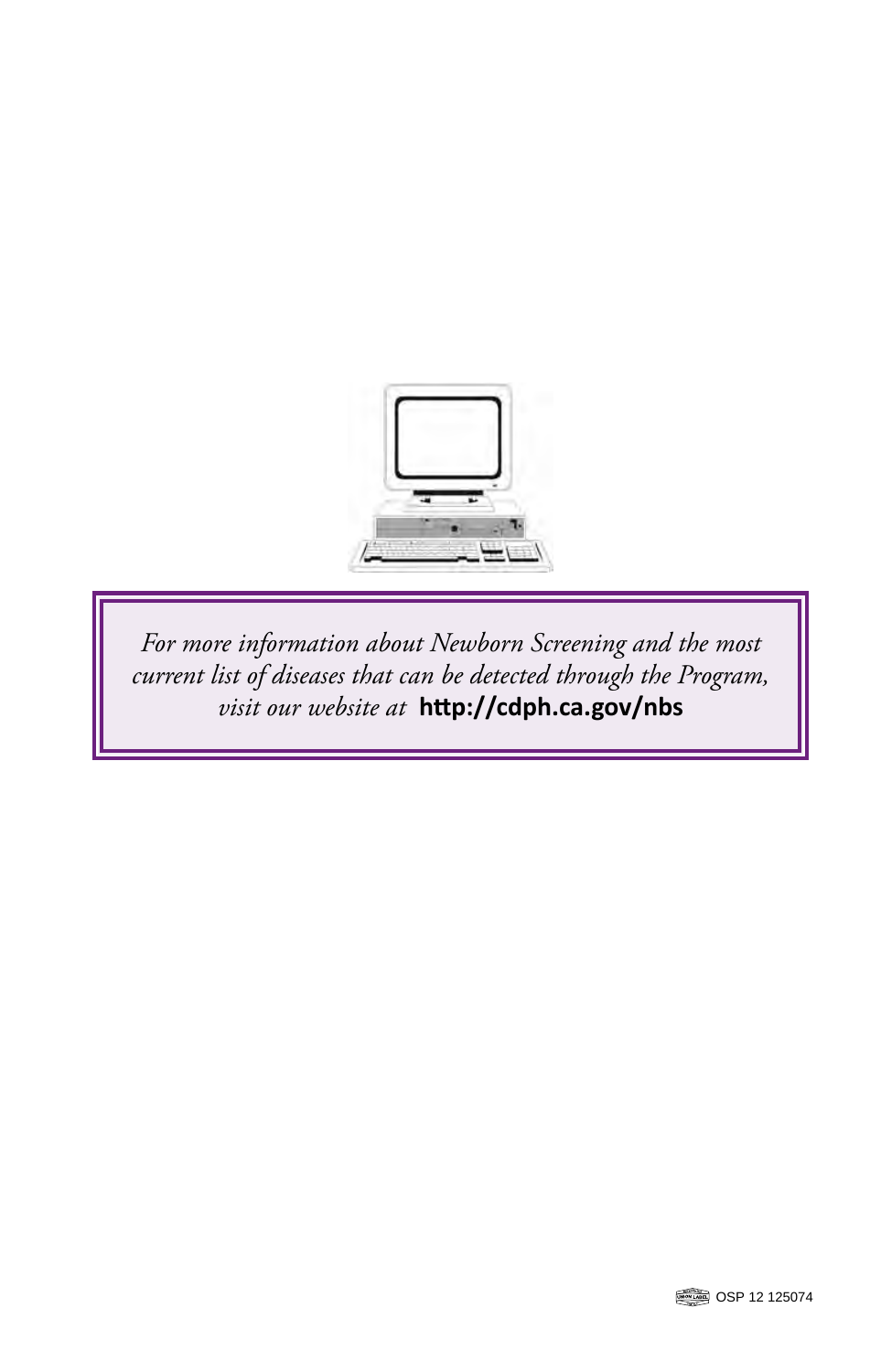

*For more information about Newborn Screening and the most current list of diseases that can be detected through the Program, visit our website at* **http://cdph.ca.gov/nbs**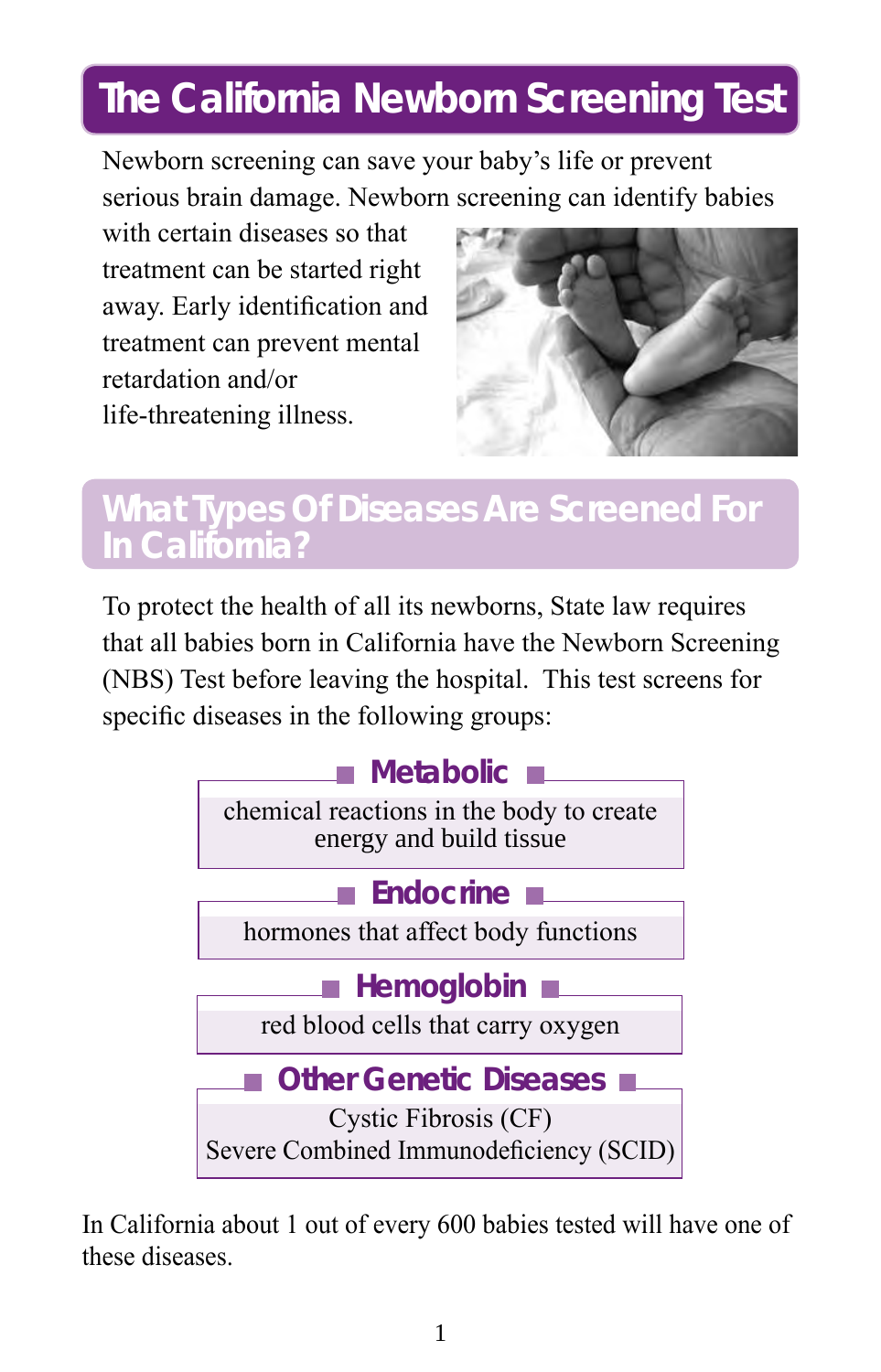## **The California Newborn Screening Test**

Newborn screening can save your baby's life or prevent serious brain damage. Newborn screening can identify babies

with certain diseases so that treatment can be started right away. Early identification and treatment can prevent mental retardation and/or life-threatening illness.



#### **What Types Of Diseases Are Screened For In California?**

To protect the health of all its newborns, State law requires that all babies born in California have the Newborn Screening (NBS) Test before leaving the hospital. This test screens for specific diseases in the following groups:



In California about 1 out of every 600 babies tested will have one of these diseases.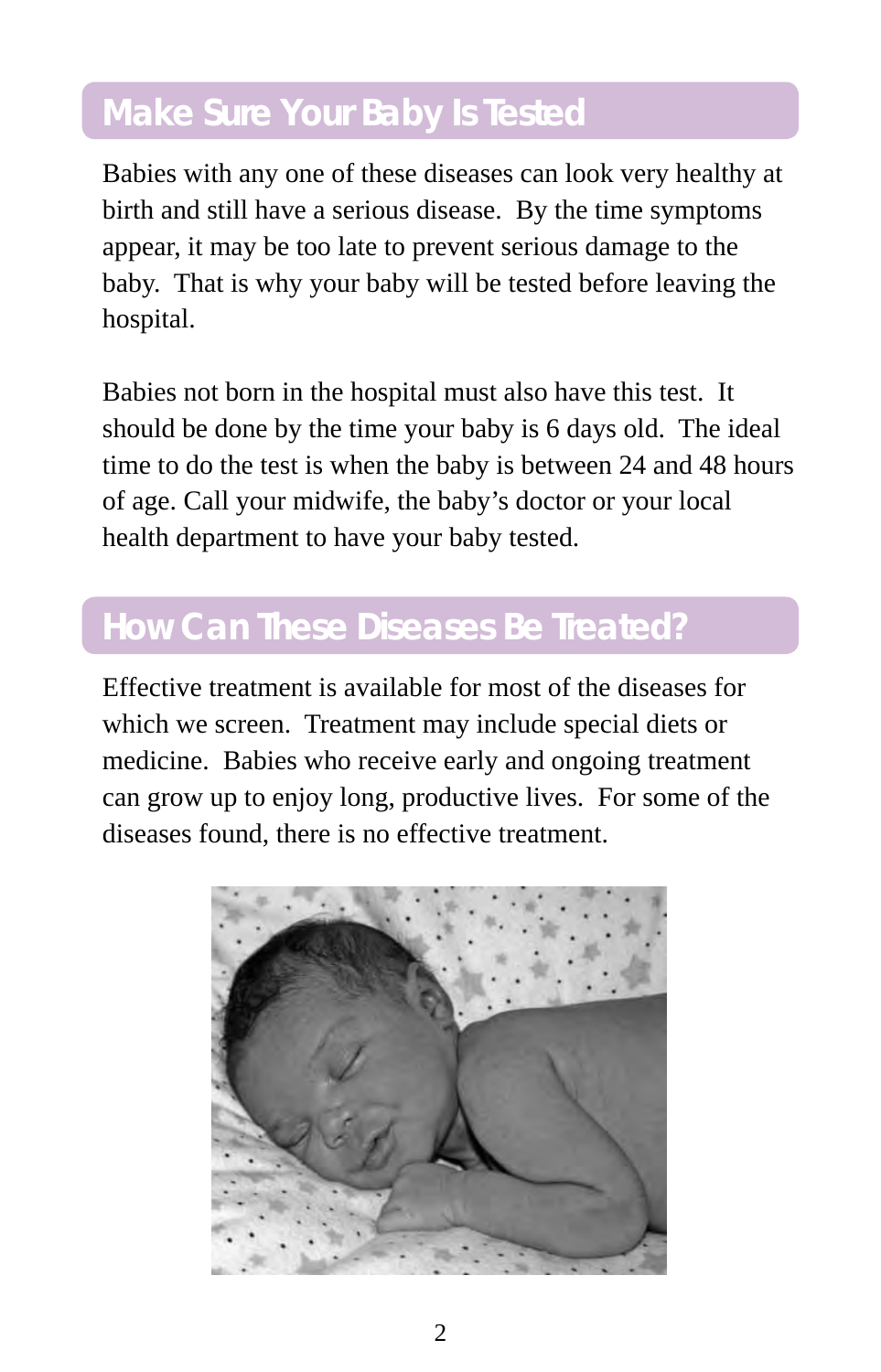### **Make Sure Your Baby Is Tested**

Babies with any one of these diseases can look very healthy at birth and still have a serious disease. By the time symptoms appear, it may be too late to prevent serious damage to the baby. That is why your baby will be tested before leaving the hospital.

Babies not born in the hospital must also have this test. It should be done by the time your baby is 6 days old. The ideal time to do the test is when the baby is between 24 and 48 hours of age. Call your midwife, the baby's doctor or your local health department to have your baby tested.

#### **How Can These Diseases Be Treated?**

Effective treatment is available for most of the diseases for which we screen. Treatment may include special diets or medicine. Babies who receive early and ongoing treatment can grow up to enjoy long, productive lives. For some of the diseases found, there is no effective treatment.

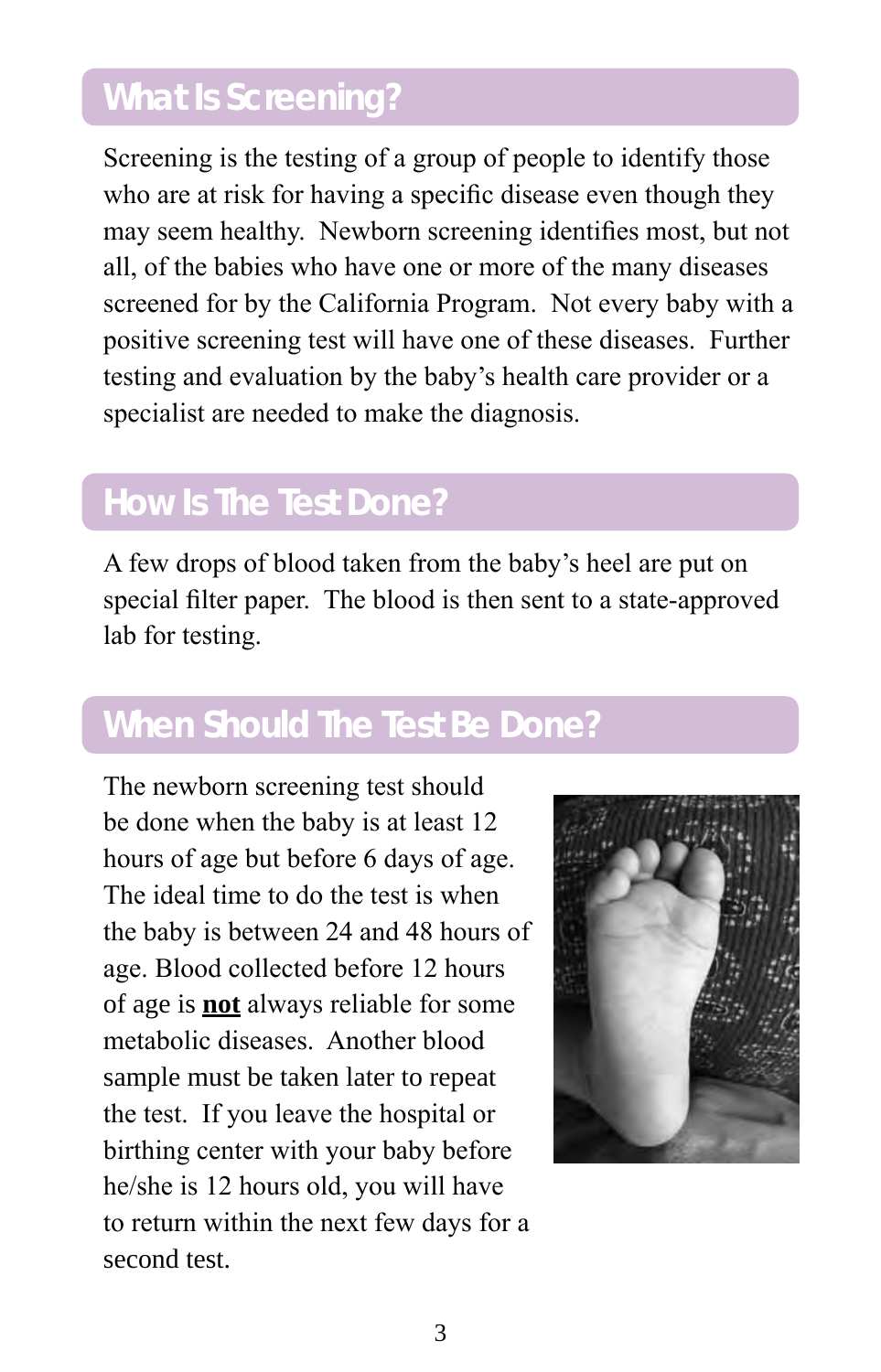## **What Is Screening?**

Screening is the testing of a group of people to identify those who are at risk for having a specific disease even though they may seem healthy. Newborn screening identifies most, but not all, of the babies who have one or more of the many diseases screened for by the California Program. Not every baby with a positive screening test will have one of these diseases. Further testing and evaluation by the baby's health care provider or a specialist are needed to make the diagnosis.

#### **How Is The Test Done?**

A few drops of blood taken from the baby's heel are put on special filter paper. The blood is then sent to a state-approved lab for testing.

### **When Should The Test Be Done?**

The newborn screening test should be done when the baby is at least 12 hours of age but before 6 days of age. The ideal time to do the test is when the baby is between 24 and 48 hours of age. Blood collected before 12 hours of age is **not** always reliable for some metabolic diseases. Another blood sample must be taken later to repeat the test. If you leave the hospital or birthing center with your baby before he/she is 12 hours old, you will have to return within the next few days for a second test.

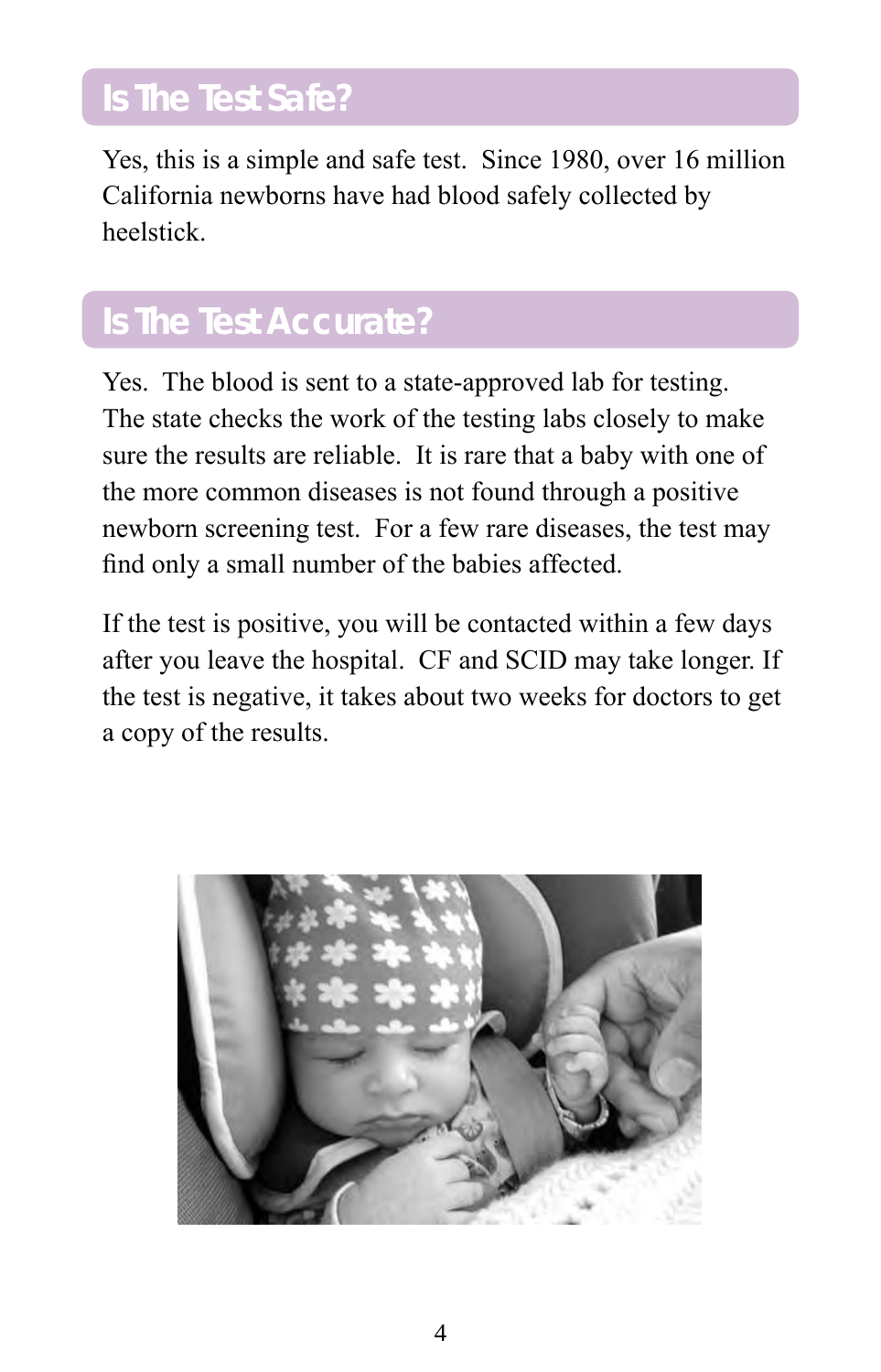## **Is The Test Safe?**

Yes, this is a simple and safe test. Since 1980, over 16 million California newborns have had blood safely collected by heelstick.

### **Is The Test Accurate?**

Yes. The blood is sent to a state-approved lab for testing. The state checks the work of the testing labs closely to make sure the results are reliable. It is rare that a baby with one of the more common diseases is not found through a positive newborn screening test. For a few rare diseases, the test may find only a small number of the babies affected.

If the test is positive, you will be contacted within a few days after you leave the hospital. CF and SCID may take longer. If the test is negative, it takes about two weeks for doctors to get a copy of the results.

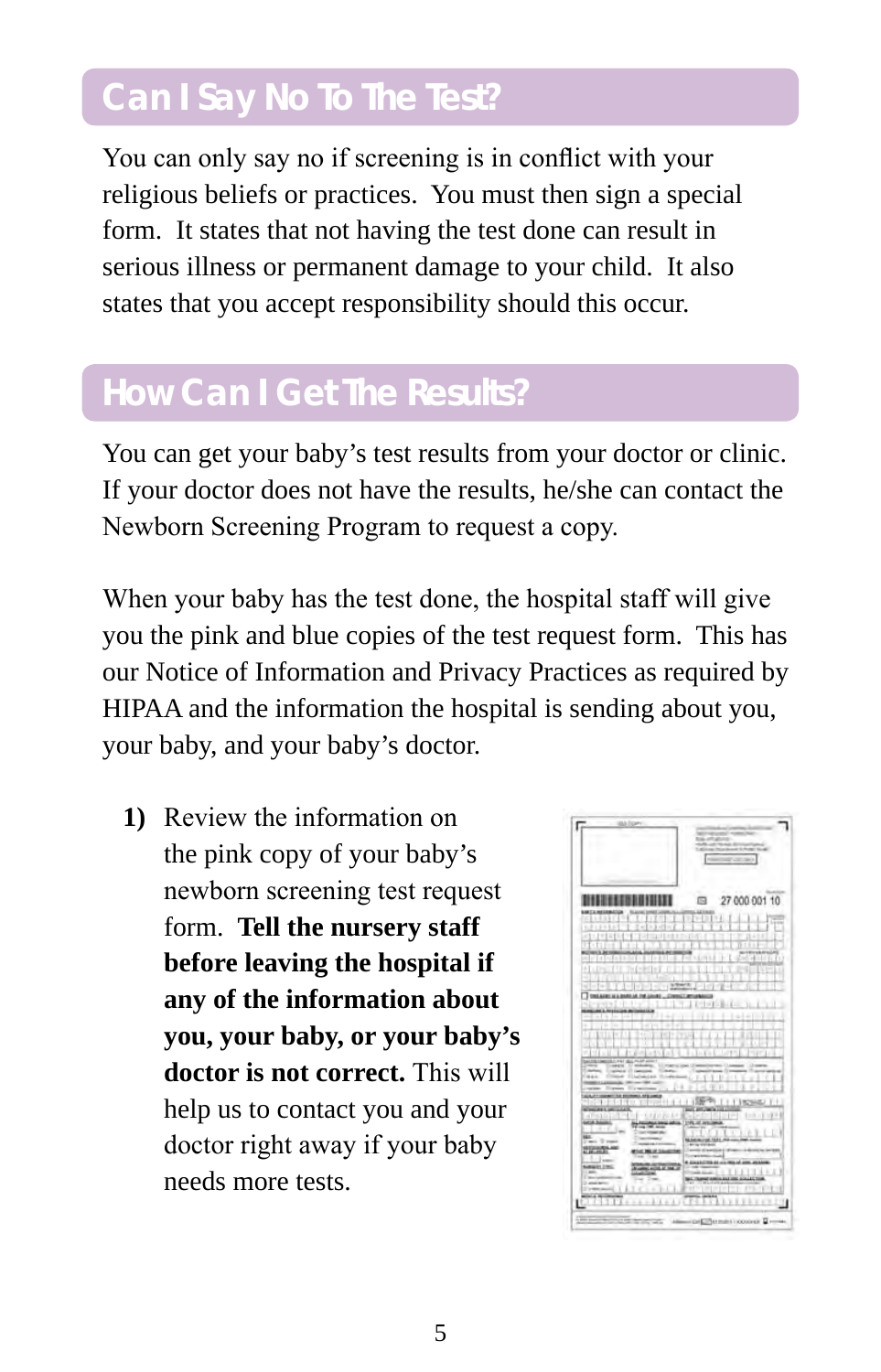### **Can I Say No To The Test?**

You can only say no if screening is in conflict with your religious beliefs or practices. You must then sign a special form. It states that not having the test done can result in serious illness or permanent damage to your child. It also states that you accept responsibility should this occur.

### **How Can I Get The Results?**

You can get your baby's test results from your doctor or clinic. If your doctor does not have the results, he/she can contact the Newborn Screening Program to request a copy.

When your baby has the test done, the hospital staff will give you the pink and blue copies of the test request form. This has our Notice of Information and Privacy Practices as required by HIPAA and the information the hospital is sending about you, your baby, and your baby's doctor.

**1)** Review the information on the pink copy of your baby's newborn screening test request form. **Tell the nursery staff before leaving the hospital if any of the information about you, your baby, or your baby's doctor is not correct.** This will help us to contact you and your doctor right away if your baby needs more tests.

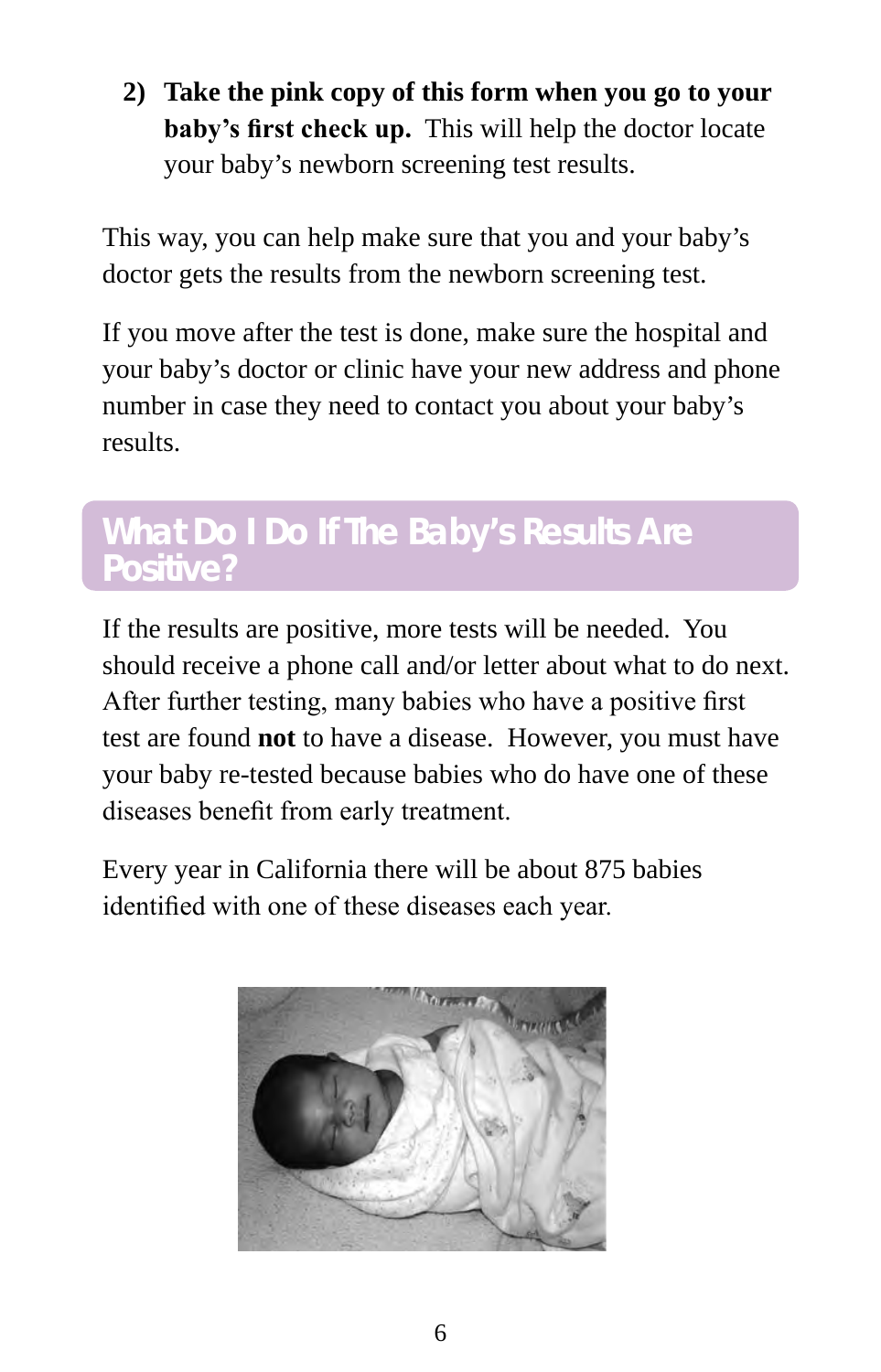**2) Take the pink copy of this form when you go to your baby's first check up.** This will help the doctor locate your baby's newborn screening test results.

This way, you can help make sure that you and your baby's doctor gets the results from the newborn screening test.

If you move after the test is done, make sure the hospital and your baby's doctor or clinic have your new address and phone number in case they need to contact you about your baby's results.

#### **What Do I Do If The Baby's Results Are Positive?**

If the results are positive, more tests will be needed. You should receive a phone call and/or letter about what to do next. After further testing, many babies who have a positive first test are found **not** to have a disease. However, you must have your baby re-tested because babies who do have one of these diseases benefit from early treatment.

Every year in California there will be about 875 babies identified with one of these diseases each year.

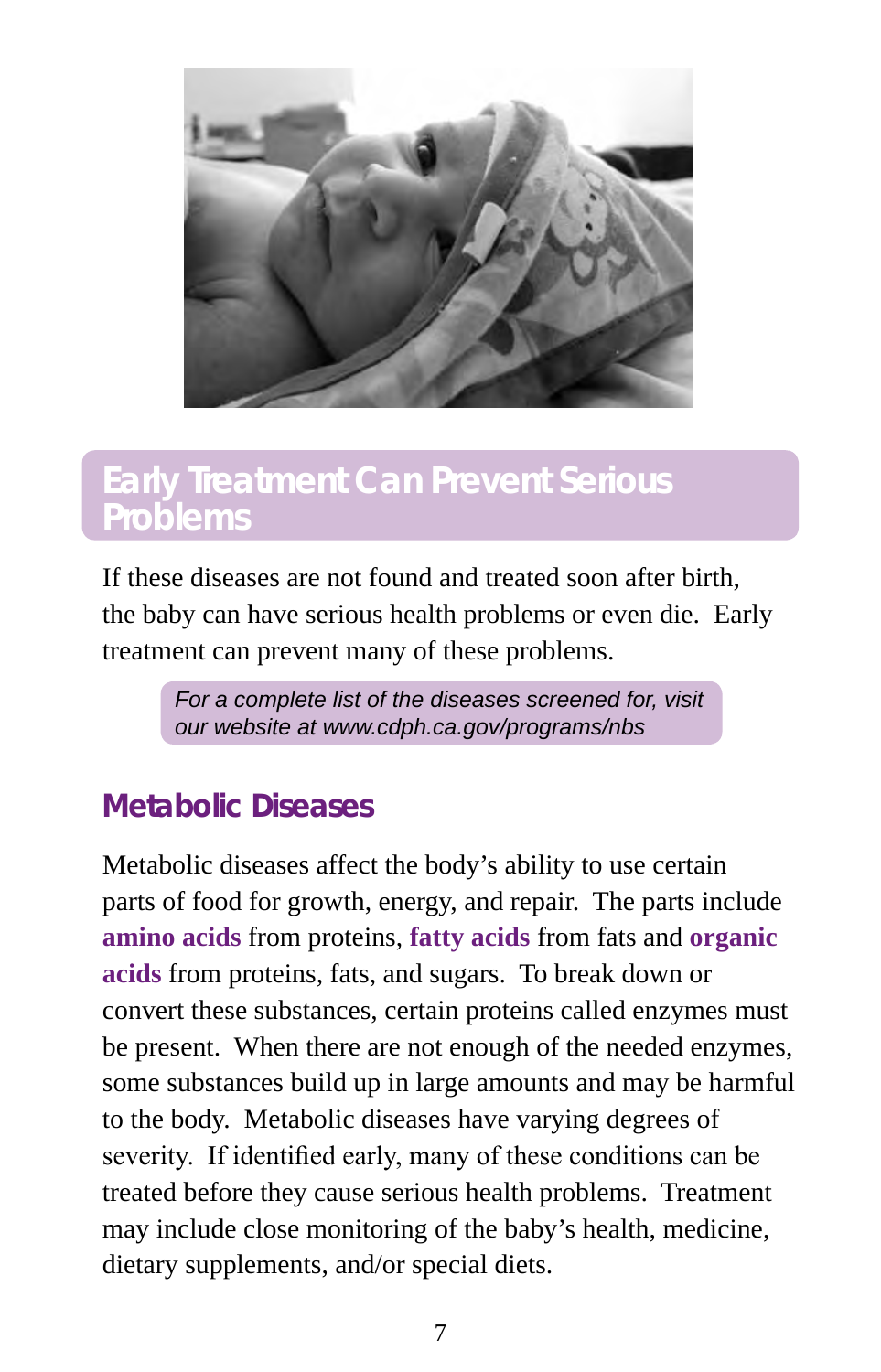

#### **Early Treatment Can Prevent Serious Problems**

If these diseases are not found and treated soon after birth, the baby can have serious health problems or even die. Early treatment can prevent many of these problems.

> *For a complete list of the diseases screened for, visit our website at www.cdph.ca.gov/programs/nbs*

#### **Metabolic Diseases**

Metabolic diseases affect the body's ability to use certain parts of food for growth, energy, and repair. The parts include **amino acids** from proteins, **fatty acids** from fats and **organic acids** from proteins, fats, and sugars. To break down or convert these substances, certain proteins called enzymes must be present. When there are not enough of the needed enzymes, some substances build up in large amounts and may be harmful to the body. Metabolic diseases have varying degrees of severity. If identified early, many of these conditions can be treated before they cause serious health problems. Treatment may include close monitoring of the baby's health, medicine, dietary supplements, and/or special diets.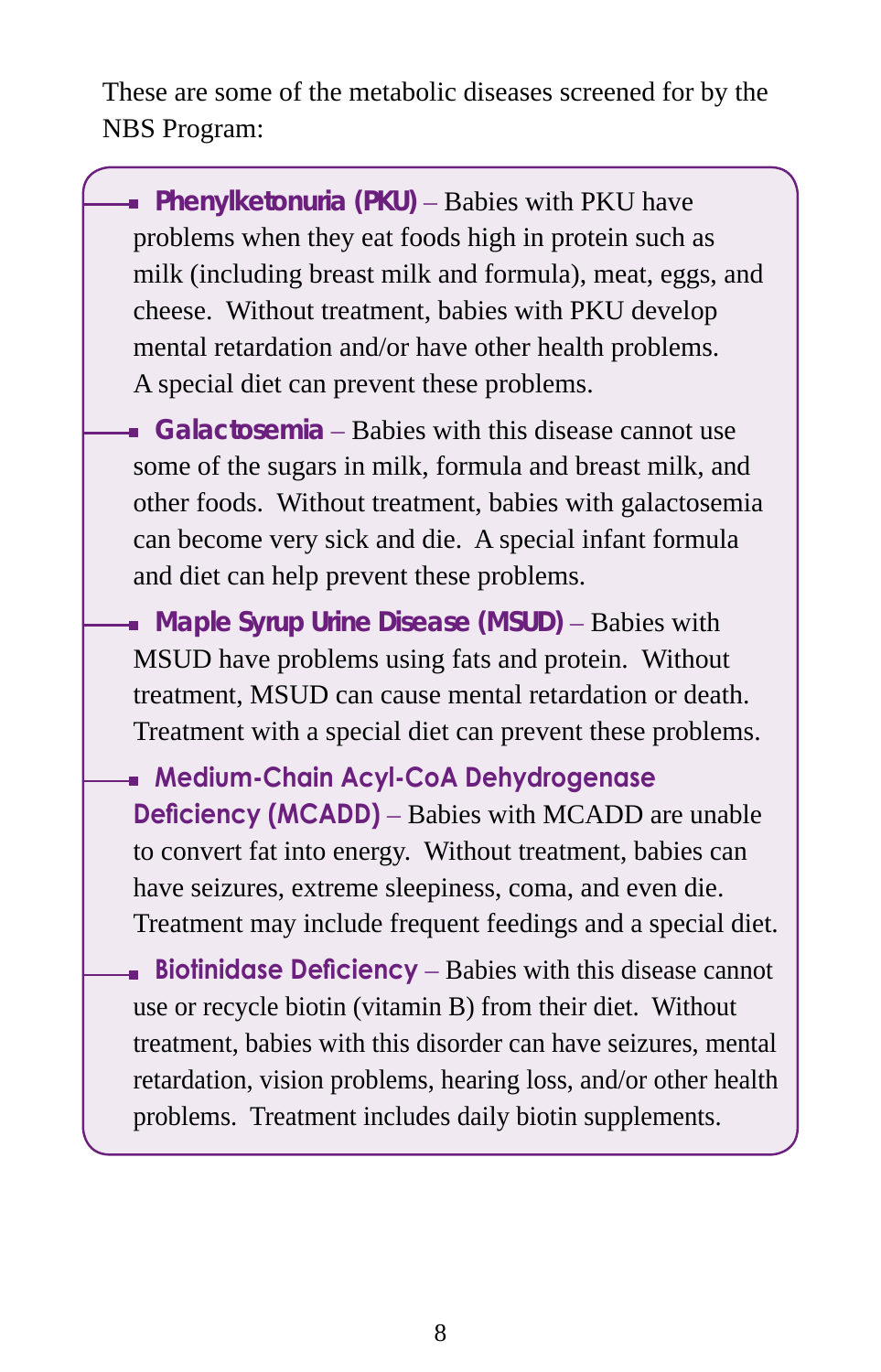These are some of the metabolic diseases screened for by the NBS Program:

**Phenylketonuria (PKU)** – Babies with PKU have problems when they eat foods high in protein such as milk (including breast milk and formula), meat, eggs, and cheese. Without treatment, babies with PKU develop mental retardation and/or have other health problems. A special diet can prevent these problems.

**Galactosemia** – Babies with this disease cannot use some of the sugars in milk, formula and breast milk, and other foods. Without treatment, babies with galactosemia can become very sick and die. A special infant formula and diet can help prevent these problems.

**Maple Syrup Urine Disease (MSUD)** – Babies with MSUD have problems using fats and protein. Without treatment, MSUD can cause mental retardation or death. Treatment with a special diet can prevent these problems.

**Medium-Chain Acyl-CoA Dehydrogenase Deficiency (MCADD)** – Babies with MCADD are unable to convert fat into energy. Without treatment, babies can have seizures, extreme sleepiness, coma, and even die. Treatment may include frequent feedings and a special diet.

**Biotinidase Deficiency** – Babies with this disease cannot use or recycle biotin (vitamin B) from their diet. Without treatment, babies with this disorder can have seizures, mental retardation, vision problems, hearing loss, and/or other health problems. Treatment includes daily biotin supplements.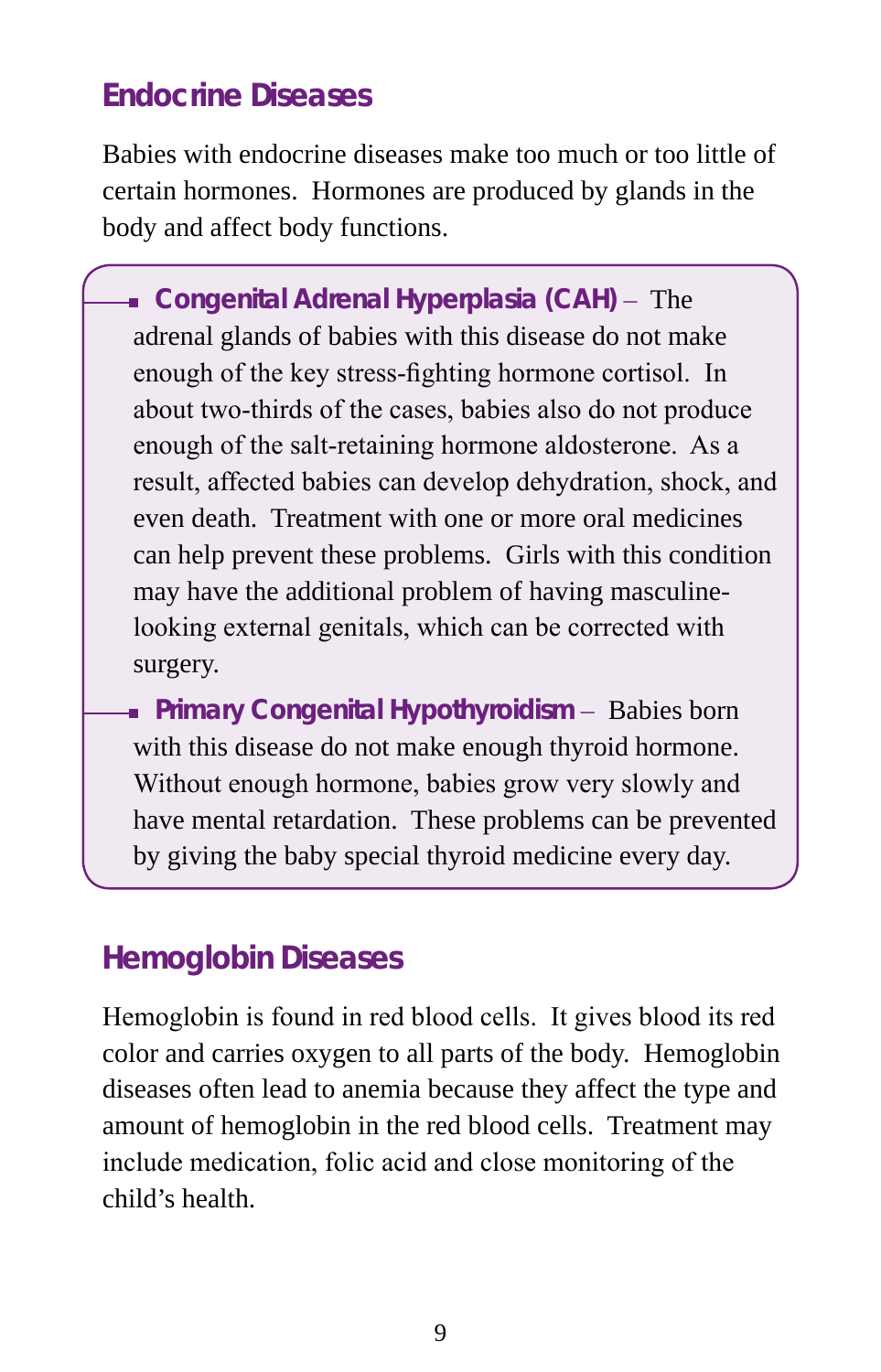#### **Endocrine Diseases**

Babies with endocrine diseases make too much or too little of certain hormones. Hormones are produced by glands in the body and affect body functions.

**Congenital Adrenal Hyperplasia (CAH)** – The adrenal glands of babies with this disease do not make enough of the key stress-fighting hormone cortisol. In about two-thirds of the cases, babies also do not produce enough of the salt-retaining hormone aldosterone. As a result, affected babies can develop dehydration, shock, and even death. Treatment with one or more oral medicines can help prevent these problems. Girls with this condition may have the additional problem of having masculinelooking external genitals, which can be corrected with surgery.

**Primary Congenital Hypothyroidism** – Babies born with this disease do not make enough thyroid hormone. Without enough hormone, babies grow very slowly and have mental retardation. These problems can be prevented by giving the baby special thyroid medicine every day.

#### **Hemoglobin Diseases**

Hemoglobin is found in red blood cells. It gives blood its red color and carries oxygen to all parts of the body. Hemoglobin diseases often lead to anemia because they affect the type and amount of hemoglobin in the red blood cells. Treatment may include medication, folic acid and close monitoring of the child's health.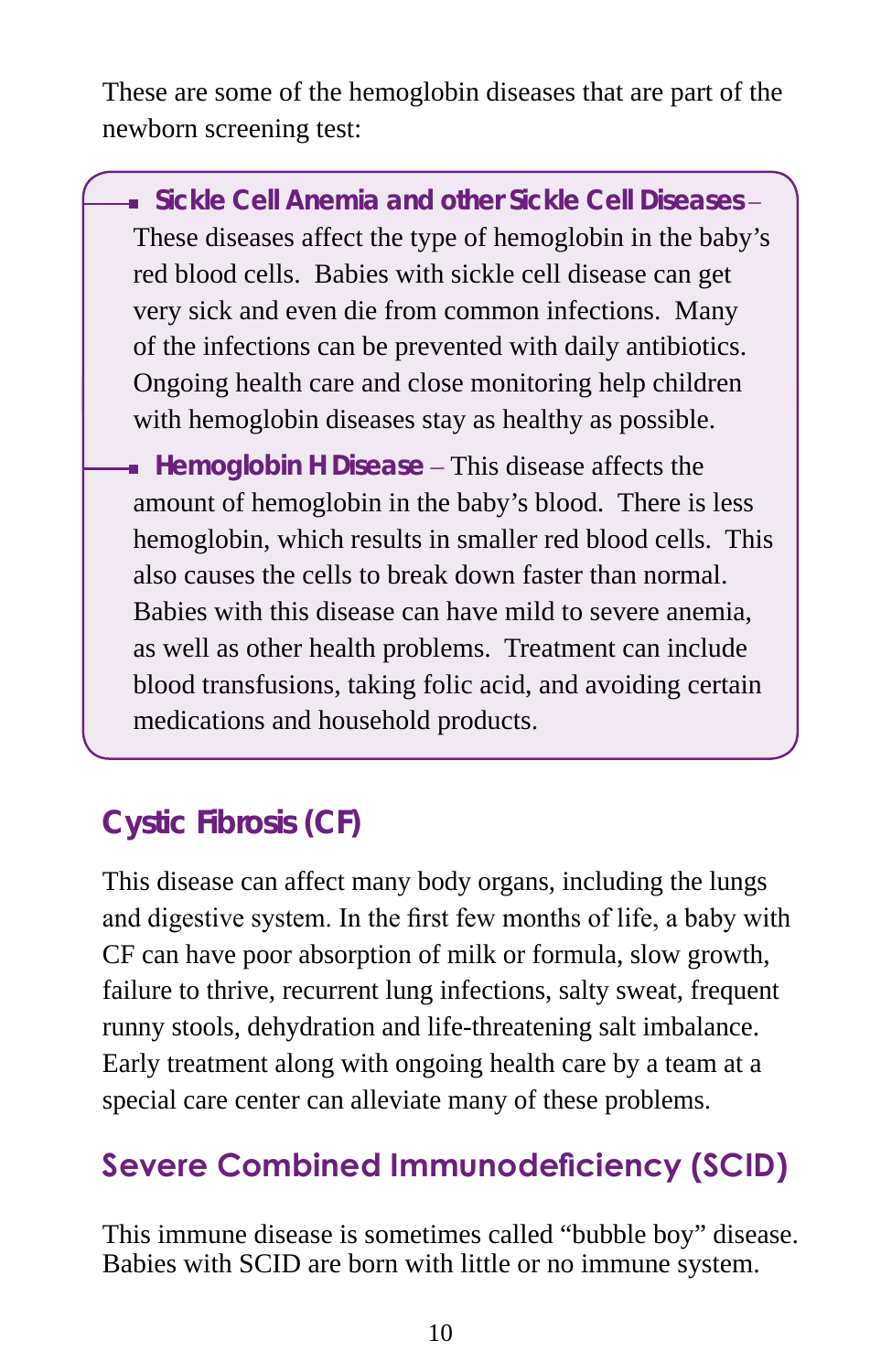These are some of the hemoglobin diseases that are part of the newborn screening test:

**Sickle Cell Anemia and other Sickle Cell Diseases** – These diseases affect the type of hemoglobin in the baby's red blood cells. Babies with sickle cell disease can get very sick and even die from common infections. Many of the infections can be prevented with daily antibiotics. Ongoing health care and close monitoring help children with hemoglobin diseases stay as healthy as possible.

**Hemoglobin H Disease** – This disease affects the amount of hemoglobin in the baby's blood. There is less hemoglobin, which results in smaller red blood cells. This also causes the cells to break down faster than normal. Babies with this disease can have mild to severe anemia, as well as other health problems. Treatment can include blood transfusions, taking folic acid, and avoiding certain medications and household products.

### **Cystic Fibrosis (CF)**

This disease can affect many body organs, including the lungs and digestive system. In the first few months of life, a baby with CF can have poor absorption of milk or formula, slow growth, failure to thrive, recurrent lung infections, salty sweat, frequent runny stools, dehydration and life-threatening salt imbalance. Early treatment along with ongoing health care by a team at a special care center can alleviate many of these problems.

### **Severe Combined Immunodeficiency (SCID)**

This immune disease is sometimes called "bubble boy" disease. Babies with SCID are born with little or no immune system.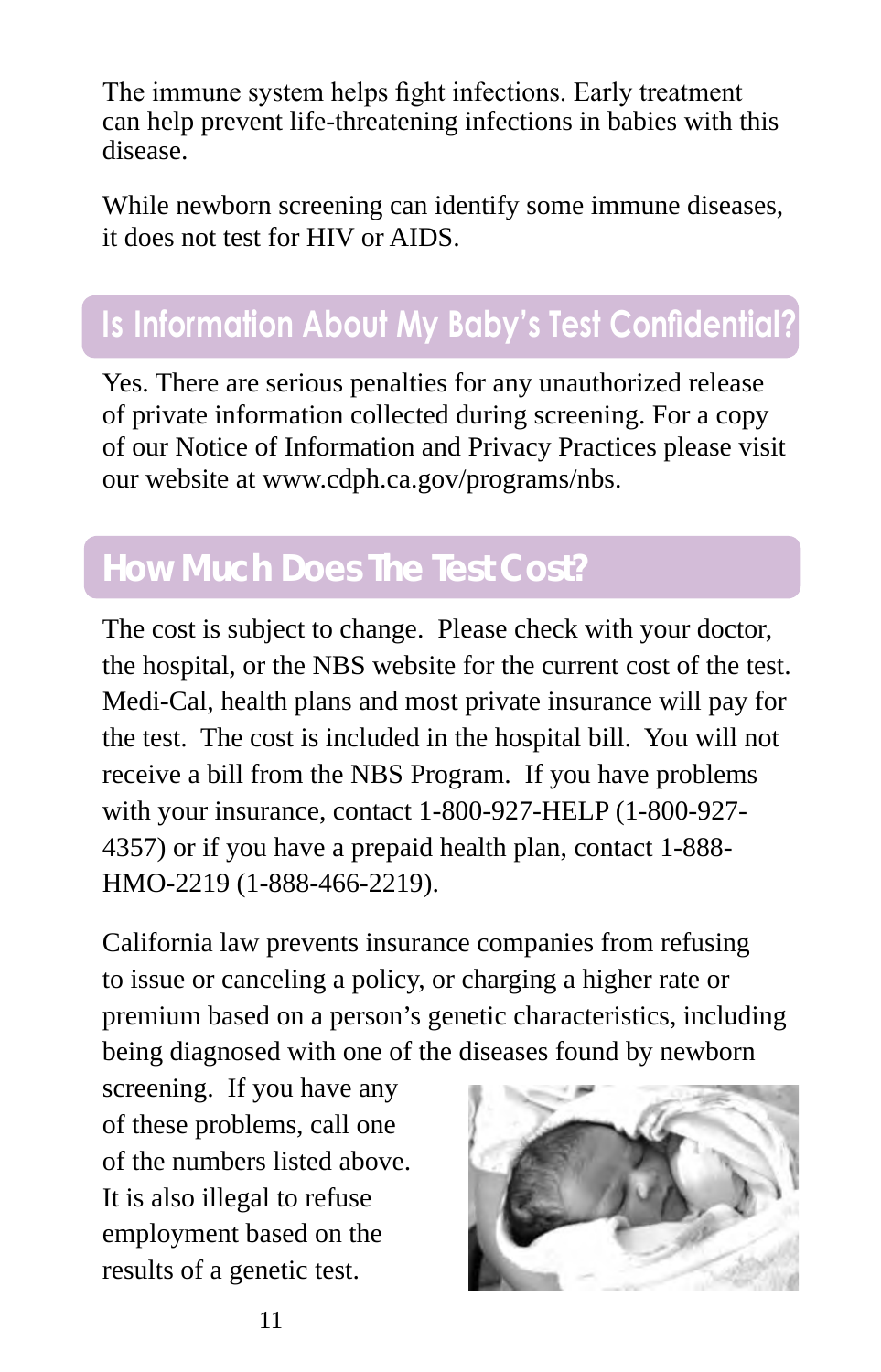The immune system helps fight infections. Early treatment can help prevent life-threatening infections in babies with this disease.

While newborn screening can identify some immune diseases, it does not test for HIV or AIDS.

### **Is Information About My Baby's Test Confidential?**

Yes. There are serious penalties for any unauthorized release of private information collected during screening. For a copy of our Notice of Information and Privacy Practices please visit our website at www.cdph.ca.gov/programs/nbs.

## **How Much Does The Test Cost?**

The cost is subject to change. Please check with your doctor, the hospital, or the NBS website for the current cost of the test. Medi-Cal, health plans and most private insurance will pay for the test. The cost is included in the hospital bill. You will not receive a bill from the NBS Program. If you have problems with your insurance, contact 1-800-927-HELP (1-800-927- 4357) or if you have a prepaid health plan, contact 1-888- HMO-2219 (1-888-466-2219).

California law prevents insurance companies from refusing to issue or canceling a policy, or charging a higher rate or premium based on a person's genetic characteristics, including being diagnosed with one of the diseases found by newborn

screening. If you have any of these problems, call one of the numbers listed above. It is also illegal to refuse employment based on the results of a genetic test.

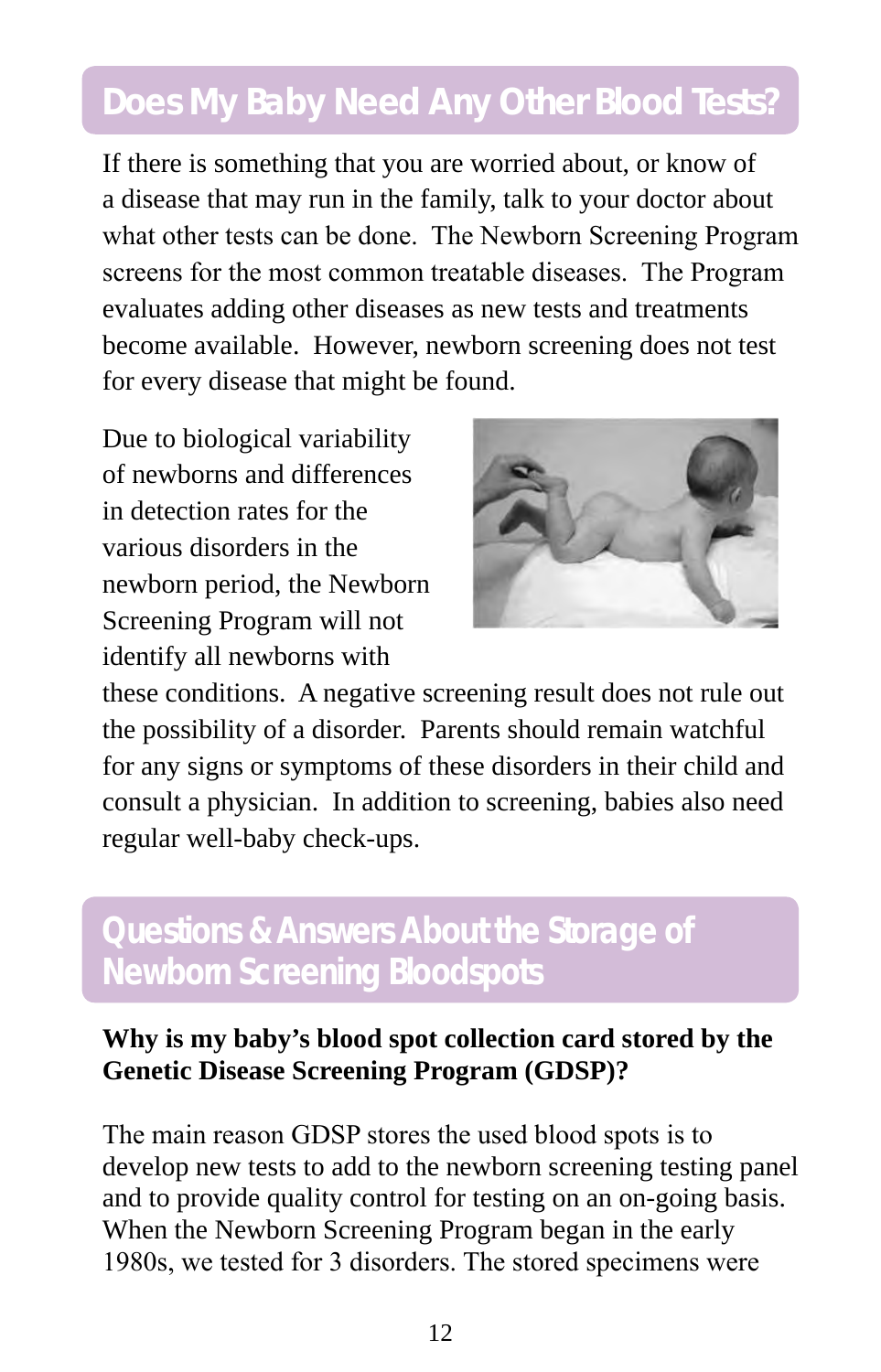### **Does My Baby Need Any Other Blood Tests?**

If there is something that you are worried about, or know of a disease that may run in the family, talk to your doctor about what other tests can be done. The Newborn Screening Program screens for the most common treatable diseases. The Program evaluates adding other diseases as new tests and treatments become available. However, newborn screening does not test for every disease that might be found.

Due to biological variability of newborns and differences in detection rates for the various disorders in the newborn period, the Newborn Screening Program will not identify all newborns with



these conditions. A negative screening result does not rule out the possibility of a disorder. Parents should remain watchful for any signs or symptoms of these disorders in their child and consult a physician. In addition to screening, babies also need regular well-baby check-ups.

#### **Questions & Answers About the Storage of Newborn Screening Bloodspots**

#### **Why is my baby's blood spot collection card stored by the Genetic Disease Screening Program (GDSP)?**

The main reason GDSP stores the used blood spots is to develop new tests to add to the newborn screening testing panel and to provide quality control for testing on an on-going basis. When the Newborn Screening Program began in the early 1980s, we tested for 3 disorders. The stored specimens were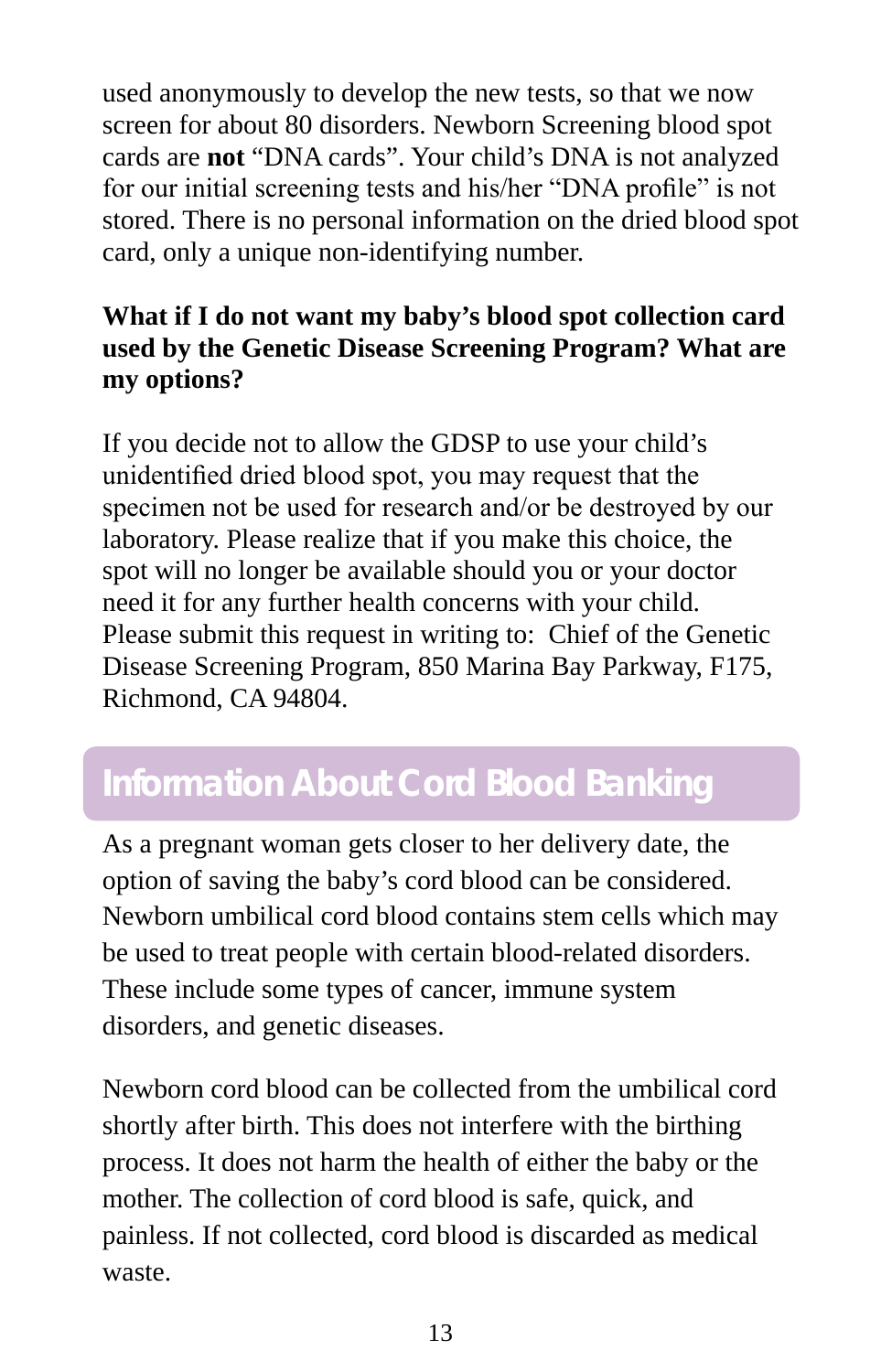used anonymously to develop the new tests, so that we now screen for about 80 disorders. Newborn Screening blood spot cards are **not** "DNA cards". Your child's DNA is not analyzed for our initial screening tests and his/her "DNA profile" is not stored. There is no personal information on the dried blood spot card, only a unique non-identifying number.

#### **What if I do not want my baby's blood spot collection card used by the Genetic Disease Screening Program? What are my options?**

If you decide not to allow the GDSP to use your child's unidentified dried blood spot, you may request that the specimen not be used for research and/or be destroyed by our laboratory. Please realize that if you make this choice, the spot will no longer be available should you or your doctor need it for any further health concerns with your child. Please submit this request in writing to: Chief of the Genetic Disease Screening Program, 850 Marina Bay Parkway, F175, Richmond, CA 94804.

### **Information About Cord Blood Banking**

As a pregnant woman gets closer to her delivery date, the option of saving the baby's cord blood can be considered. Newborn umbilical cord blood contains stem cells which may be used to treat people with certain blood-related disorders. These include some types of cancer, immune system disorders, and genetic diseases.

Newborn cord blood can be collected from the umbilical cord shortly after birth. This does not interfere with the birthing process. It does not harm the health of either the baby or the mother. The collection of cord blood is safe, quick, and painless. If not collected, cord blood is discarded as medical waste.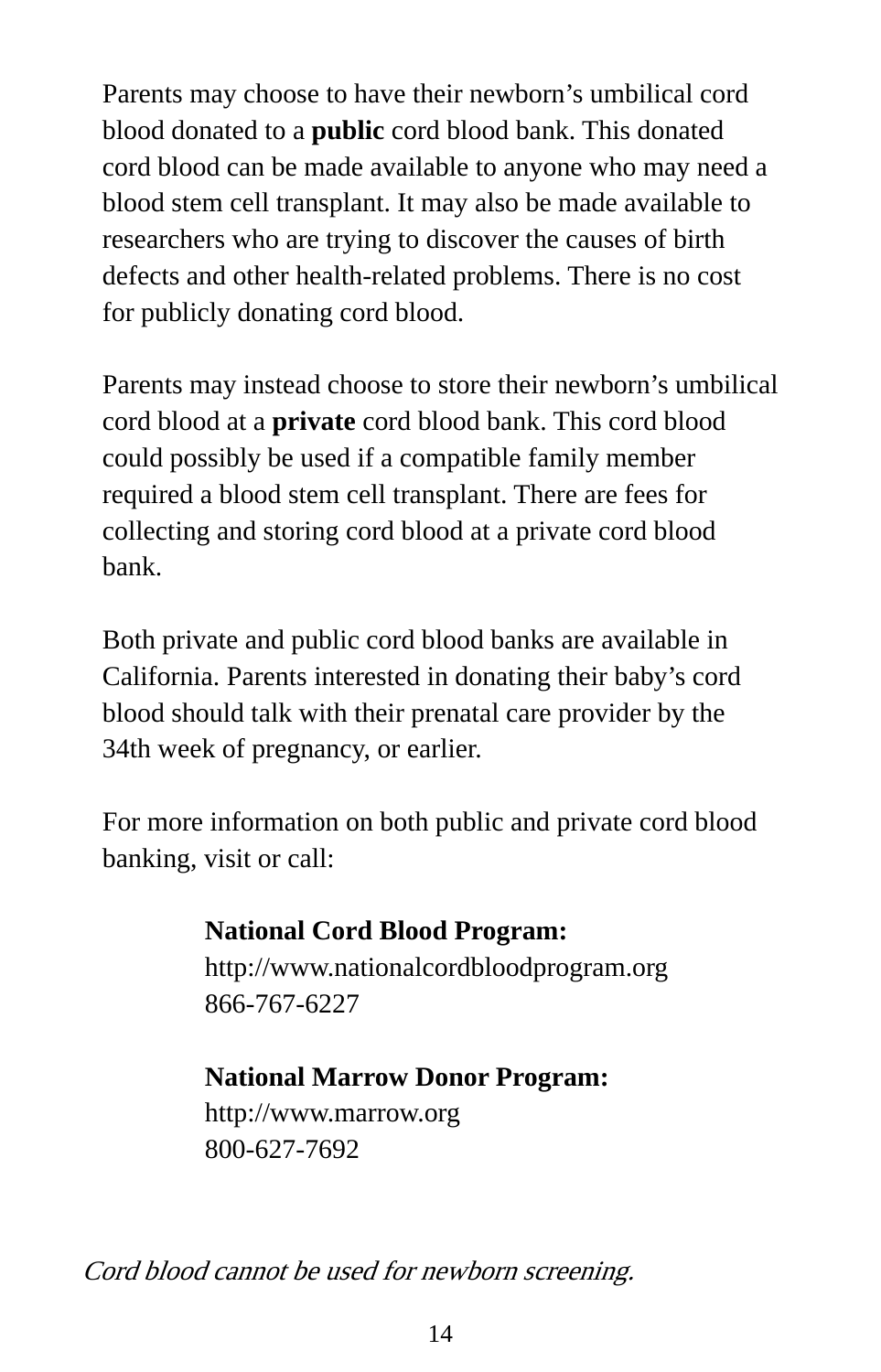Parents may choose to have their newborn's umbilical cord blood donated to a **public** cord blood bank. This donated cord blood can be made available to anyone who may need a blood stem cell transplant. It may also be made available to researchers who are trying to discover the causes of birth defects and other health-related problems. There is no cost for publicly donating cord blood.

Parents may instead choose to store their newborn's umbilical cord blood at a **private** cord blood bank. This cord blood could possibly be used if a compatible family member required a blood stem cell transplant. There are fees for collecting and storing cord blood at a private cord blood bank.

Both private and public cord blood banks are available in California. Parents interested in donating their baby's cord blood should talk with their prenatal care provider by the 34th week of pregnancy, or earlier.

For more information on both public and private cord blood banking, visit or call:

#### **National Cord Blood Program:** http://www.nationalcordbloodprogram.org 866-767-6227

#### **National Marrow Donor Program:**

http://www.marrow.org 800-627-7692

Cord blood cannot be used for newborn screening.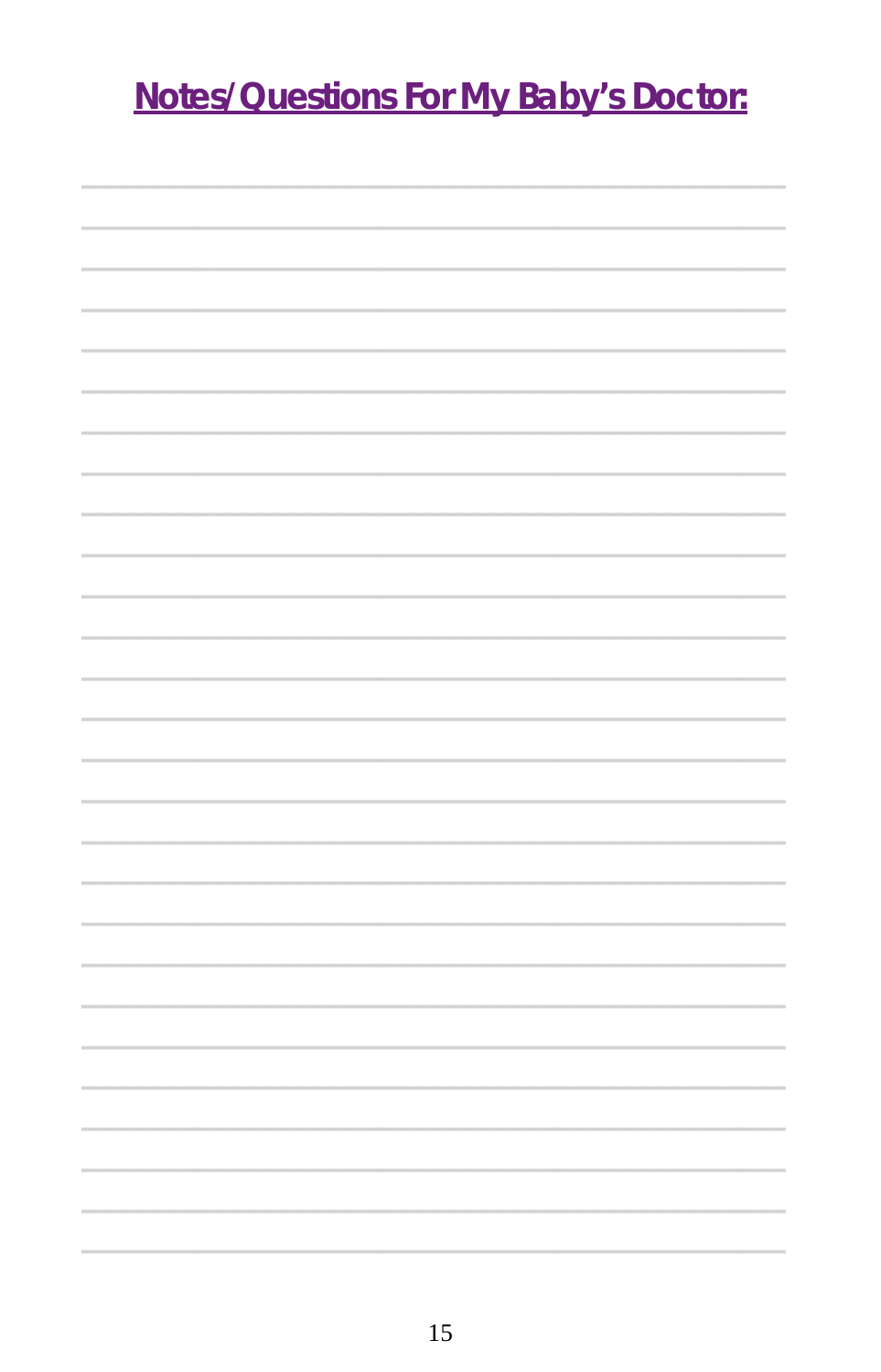## **Notes/Questions For My Baby's Doctor:**

**\_\_\_\_\_\_\_\_\_\_\_\_\_\_\_\_\_\_\_\_\_\_\_\_\_\_\_\_\_\_\_\_\_\_\_\_\_\_\_\_\_\_\_**